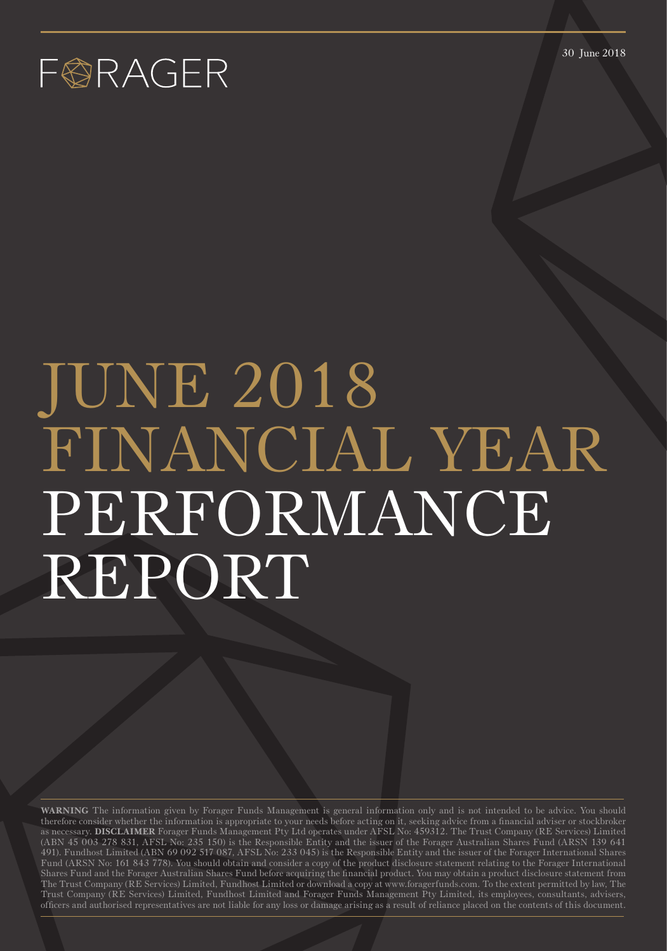30 June 2018

### FØRAGER

# JUNE 2018 FINANCIAL YEAR PERFORMANCE REPORT

**WARNING** The information given by Forager Funds Management is general information only and is not intended to be advice. You should therefore consider whether the information is appropriate to your needs before acting on it, seeking advice from a financial adviser or stockbroker as necessary. **DISCLAIMER** Forager Funds Management Pty Ltd operates under AFSL No: 459312. The Trust Company (RE Services) Limited (ABN 45 003 278 831, AFSL No: 235 150) is the Responsible Entity and the issuer of the Forager Australian Shares Fund (ARSN 139 641 491). Fundhost Limited (ABN 69 092 517 087, AFSL No: 233 045) is the Responsible Entity and the issuer of the Forager International Shares Fund (ARSN No: 161 843 778). You should obtain and consider a copy of the product disclosure statement relating to the Forager International Shares Fund and the Forager Australian Shares Fund before acquiring the financial product. You may obtain a product disclosure statement from The Trust Company (RE Services) Limited, Fundhost Limited or download a copy at www.foragerfunds.com. To the extent permitted by law, The Trust Company (RE Services) Limited, Fundhost Limited and Forager Funds Management Pty Limited, its employees, consultants, advisers, officers and authorised representatives are not liable for any loss or damage arising as a result of reliance placed on the contents of this document.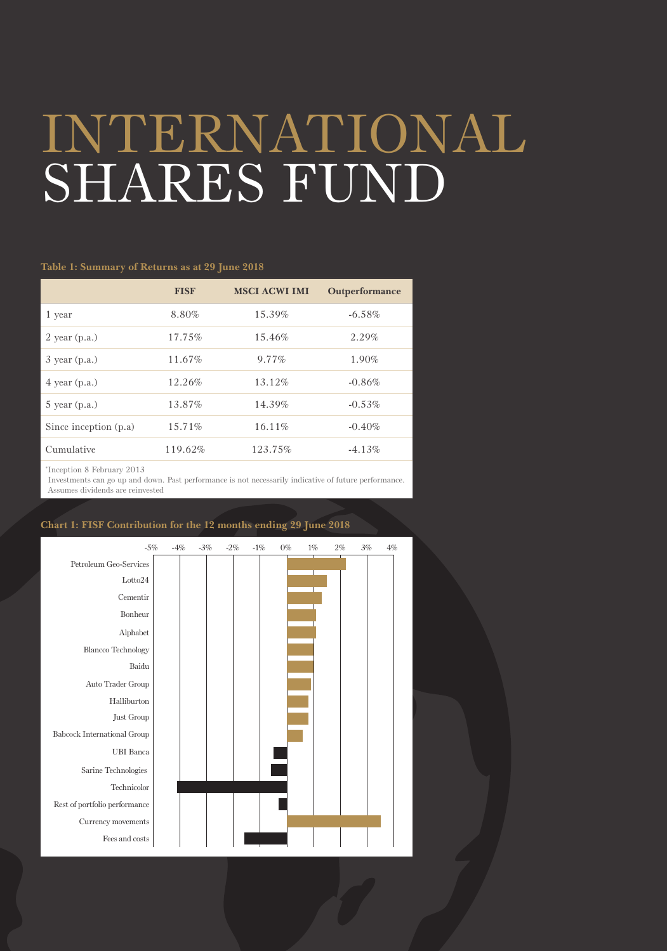## INTERNATIONAL SHARES FUND

### **Table 1: Summary of Returns as at 29 June 2018**

|                       | <b>FISF</b> | <b>MSCI ACWI IMI</b> | Outperformance |
|-----------------------|-------------|----------------------|----------------|
| 1 year                | 8.80%       | 15.39%               | $-6.58%$       |
| $2$ year (p.a.)       | 17.75%      | 15.46%               | 2.29%          |
| $3$ year (p.a.)       | 11.67%      | $9.77\%$             | $1.90\%$       |
| $4$ year (p.a.)       | 12.26%      | 13.12%               | $-0.86%$       |
| $5$ year (p.a.)       | 13.87%      | 14.39%               | $-0.53%$       |
| Since inception (p.a) | 15.71%      | 16.11%               | $-0.40%$       |
| Cumulative            | 119.62%     | 123.75%              | $-4.13\%$      |
|                       |             |                      |                |

\* Inception 8 February 2013

 Investments can go up and down. Past performance is not necessarily indicative of future performance. Assumes dividends are reinvested



### **Chart 1: FISF Contribution for the 12 months ending 29 June 2018**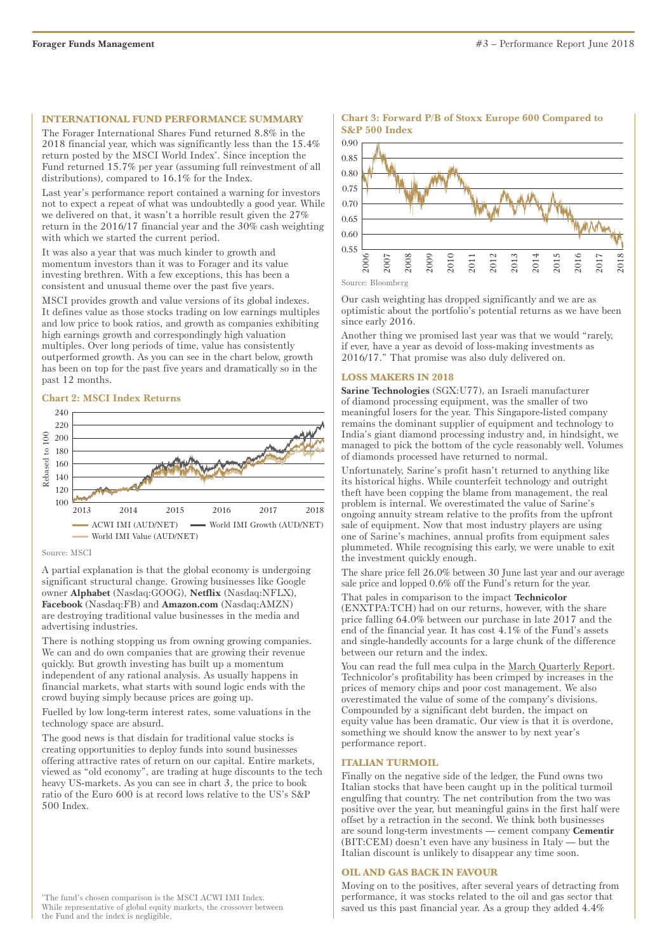### **INTERNATIONAL FUND PERFORMANCE SUMMARY**

The Forager International Shares Fund returned 8.8% in the 2018 financial year, which was significantly less than the 15.4% return posted by the MSCI World Index\* . Since inception the Fund returned 15.7% per year (assuming full reinvestment of all distributions), compared to 16.1% for the Index.

Last year's performance report contained a warning for investors not to expect a repeat of what was undoubtedly a good year. While we delivered on that, it wasn't a horrible result given the 27% return in the 2016/17 financial year and the 30% cash weighting with which we started the current period.

It was also a year that was much kinder to growth and momentum investors than it was to Forager and its value investing brethren. With a few exceptions, this has been a consistent and unusual theme over the past five years.

MSCI provides growth and value versions of its global indexes. It defines value as those stocks trading on low earnings multiples and low price to book ratios, and growth as companies exhibiting high earnings growth and correspondingly high valuation multiples. Over long periods of time, value has consistently outperformed growth. As you can see in the chart below, growth has been on top for the past five years and dramatically so in the past 12 months.

### **Chart 2: MSCI Index Returns**



### Source: MSCI

A partial explanation is that the global economy is undergoing significant structural change. Growing businesses like Google owner **Alphabet** (Nasdaq:GOOG), **Netflix** (Nasdaq:NFLX), **Facebook** (Nasdaq:FB) and **Amazon.com** (Nasdaq:AMZN) are destroying traditional value businesses in the media and advertising industries.

There is nothing stopping us from owning growing companies. We can and do own companies that are growing their revenue quickly. But growth investing has built up a momentum independent of any rational analysis. As usually happens in financial markets, what starts with sound logic ends with the crowd buying simply because prices are going up.

Fuelled by low long-term interest rates, some valuations in the technology space are absurd.

The good news is that disdain for traditional value stocks is creating opportunities to deploy funds into sound businesses offering attractive rates of return on our capital. Entire markets, viewed as "old economy", are trading at huge discounts to the tech heavy US-markets. As you can see in chart 3, the price to book ratio of the Euro 600 is at record lows relative to the US's S&P 500 Index.

### **Chart 3: Forward P/B of Stoxx Europe 600 Compared to S&P 500 Index**



Source: Bloomberg

Our cash weighting has dropped significantly and we are as optimistic about the portfolio's potential returns as we have been since early 2016.

Another thing we promised last year was that we would "rarely, if ever, have a year as devoid of loss-making investments as 2016/17." That promise was also duly delivered on.

### **LOSS MAKERS IN 2018**

**Sarine Technologies** (SGX:U77), an Israeli manufacturer of diamond processing equipment, was the smaller of two meaningful losers for the year. This Singapore-listed company remains the dominant supplier of equipment and technology to India's giant diamond processing industry and, in hindsight, we managed to pick the bottom of the cycle reasonably well. Volumes of diamonds processed have returned to normal.

Unfortunately, Sarine's profit hasn't returned to anything like its historical highs. While counterfeit technology and outright theft have been copping the blame from management, the real problem is internal. We overestimated the value of Sarine's ongoing annuity stream relative to the profits from the upfront sale of equipment. Now that most industry players are using one of Sarine's machines, annual profits from equipment sales plummeted. While recognising this early, we were unable to exit the investment quickly enough.

The share price fell 26.0% between 30 June last year and our average sale price and lopped 0.6% off the Fund's return for the year.

That pales in comparison to the impact **Technicolor**  (ENXTPA:TCH) had on our returns, however, with the share price falling 64.0% between our purchase in late 2017 and the end of the financial year. It has cost 4.1% of the Fund's assets and single-handedly accounts for a large chunk of the difference between our return and the index.

You can read the full mea culpa in the [March Quarterly Report.](https://foragerfunds.com/news/investor_resources/quarterly-report-march-2018/) Technicolor's profitability has been crimped by increases in the prices of memory chips and poor cost management. We also overestimated the value of some of the company's divisions. Compounded by a significant debt burden, the impact on equity value has been dramatic. Our view is that it is overdone, something we should know the answer to by next year's performance report.

### **ITALIAN TURMOIL**

Finally on the negative side of the ledger, the Fund owns two Italian stocks that have been caught up in the political turmoil engulfing that country. The net contribution from the two was positive over the year, but meaningful gains in the first half were offset by a retraction in the second. We think both businesses are sound long-term investments — cement company **Cementir** (BIT:CEM) doesn't even have any business in Italy — but the Italian discount is unlikely to disappear any time soon.

### **OIL AND GAS BACK IN FAVOUR**

Moving on to the positives, after several years of detracting from performance, it was stocks related to the oil and gas sector that saved us this past financial year. As a group they added 4.4%

\* The fund's chosen comparison is the MSCI ACWI IMI Index. While representative of global equity markets, the crossover between the Fund and the index is negligible.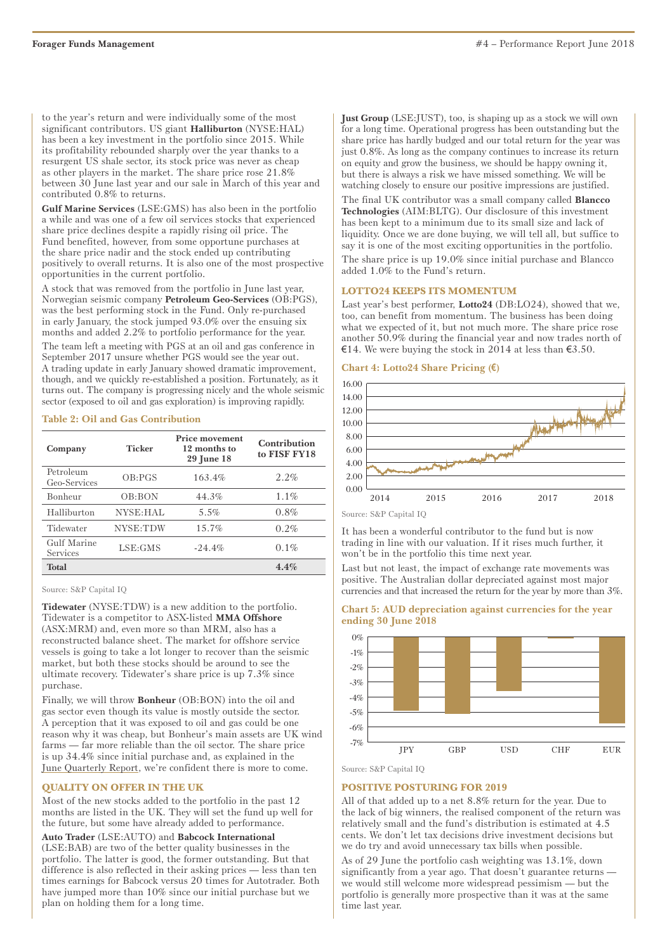to the year's return and were individually some of the most significant contributors. US giant **Halliburton** (NYSE:HAL) has been a key investment in the portfolio since 2015. While its profitability rebounded sharply over the year thanks to a resurgent US shale sector, its stock price was never as cheap as other players in the market. The share price rose 21.8% between 30 June last year and our sale in March of this year and contributed 0.8% to returns.

**Gulf Marine Services** (LSE:GMS) has also been in the portfolio a while and was one of a few oil services stocks that experienced share price declines despite a rapidly rising oil price. The Fund benefited, however, from some opportune purchases at the share price nadir and the stock ended up contributing positively to overall returns. It is also one of the most prospective opportunities in the current portfolio.

A stock that was removed from the portfolio in June last year, Norwegian seismic company **Petroleum Geo-Services** (OB:PGS), was the best performing stock in the Fund. Only re-purchased in early January, the stock jumped 93.0% over the ensuing six months and added 2.2% to portfolio performance for the year.

The team left a meeting with PGS at an oil and gas conference in September 2017 unsure whether PGS would see the year out. A trading update in early January showed dramatic improvement, though, and we quickly re-established a position. Fortunately, as it turns out. The company is progressing nicely and the whole seismic sector (exposed to oil and gas exploration) is improving rapidly.

### **Table 2: Oil and Gas Contribution**

| Company                   | <b>Ticker</b> | <b>Price movement</b><br>12 months to<br>29 June 18 | Contribution<br>to FISF FY18 |
|---------------------------|---------------|-----------------------------------------------------|------------------------------|
| Petroleum<br>Geo-Services | OB:PGS        | 163.4%                                              | 2.2%                         |
| Bonheur                   | OB:BON        | 44.3%                                               | 1.1%                         |
| Halliburton               | NYSE:HAL      | 5.5%                                                | 0.8%                         |
| Tidewater                 | NYSE:TDW      | 15.7%                                               | 0.2%                         |
| Gulf Marine<br>Services   | LSE:GMS       | $-24.4%$                                            | 0.1%                         |
| <b>Total</b>              |               |                                                     | 4.4%                         |

Source: S&P Capital IQ

**Tidewater** (NYSE:TDW) is a new addition to the portfolio. Tidewater is a competitor to ASX-listed **MMA Offshore** (ASX:MRM) and, even more so than MRM, also has a reconstructed balance sheet. The market for offshore service vessels is going to take a lot longer to recover than the seismic market, but both these stocks should be around to see the ultimate recovery. Tidewater's share price is up 7.3% since purchase.

Finally, we will throw **Bonheur** (OB:BON) into the oil and gas sector even though its value is mostly outside the sector. A perception that it was exposed to oil and gas could be one reason why it was cheap, but Bonheur's main assets are UK wind farms — far more reliable than the oil sector. The share price is up 34.4% since initial purchase and, as explained in the [June Quarterly Repor](http://June Quarterly Report)[t,](https://foragerfunds.com/news/investor_resources/quarterly-report-june-2018/) we're confident there is more to come.

### **QUALITY ON OFFER IN THE UK**

Most of the new stocks added to the portfolio in the past 12 months are listed in the UK. They will set the fund up well for the future, but some have already added to performance.

**Auto Trader** (LSE:AUTO) and **Babcock International** (LSE:BAB) are two of the better quality businesses in the portfolio. The latter is good, the former outstanding. But that difference is also reflected in their asking prices — less than ten times earnings for Babcock versus 20 times for Autotrader. Both have jumped more than 10% since our initial purchase but we plan on holding them for a long time.

**Just Group** (LSE:JUST), too, is shaping up as a stock we will own for a long time. Operational progress has been outstanding but the share price has hardly budged and our total return for the year was just 0.8%. As long as the company continues to increase its return on equity and grow the business, we should be happy owning it, but there is always a risk we have missed something. We will be watching closely to ensure our positive impressions are justified.

The final UK contributor was a small company called **Blancco Technologies** (AIM:BLTG). Our disclosure of this investment has been kept to a minimum due to its small size and lack of liquidity. Once we are done buying, we will tell all, but suffice to say it is one of the most exciting opportunities in the portfolio. The share price is up 19.0% since initial purchase and Blancco added 1.0% to the Fund's return.

### **LOTTO24 KEEPS ITS MOMENTUM**

Last year's best performer, **Lotto24** (DB:LO24), showed that we, too, can benefit from momentum. The business has been doing what we expected of it, but not much more. The share price rose another 50.9% during the financial year and now trades north of €14. We were buying the stock in 2014 at less than  $€3.50$ .

### **Chart 4: Lotto24 Share Pricing (€)**



It has been a wonderful contributor to the fund but is now trading in line with our valuation. If it rises much further, it won't be in the portfolio this time next year.

Last but not least, the impact of exchange rate movements was positive. The Australian dollar depreciated against most major currencies and that increased the return for the year by more than 3%.







### **POSITIVE POSTURING FOR 2019**

All of that added up to a net 8.8% return for the year. Due to the lack of big winners, the realised component of the return was relatively small and the fund's distribution is estimated at 4.5 cents. We don't let tax decisions drive investment decisions but we do try and avoid unnecessary tax bills when possible.

As of 29 June the portfolio cash weighting was 13.1%, down significantly from a year ago. That doesn't guarantee returns we would still welcome more widespread pessimism — but the portfolio is generally more prospective than it was at the same time last year.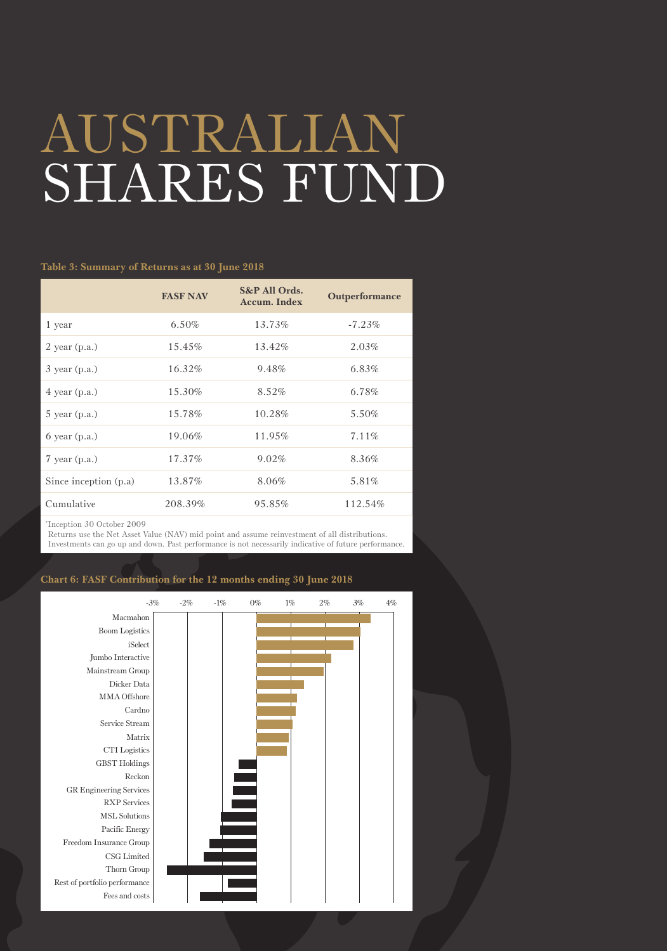## AUSTRALIAN SHARES FUND

### **Table 3: Summary of Returns as at 30 June 2018**

|                       | <b>FASF NAV</b> | S&P All Ords.<br><b>Accum. Index</b> | Outperformance |
|-----------------------|-----------------|--------------------------------------|----------------|
| 1 year                | $6.50\%$        | 13.73%                               | $-7.23%$       |
| $2$ year (p.a.)       | 15.45%          | 13.42%                               | 2.03%          |
| $3$ year (p.a.)       | 16.32%          | 9.48%                                | $6.83\%$       |
| $4$ year (p.a.)       | 15.30%          | 8.52%                                | 6.78%          |
| $5$ year (p.a.)       | 15.78%          | 10.28%                               | 5.50%          |
| $6$ year $(p.a.)$     | 19.06%          | 11.95%                               | 7.11%          |
| $7$ year (p.a.)       | 17.37%          | 9.02%                                | 8.36%          |
| Since inception (p.a) | 13.87%          | 8.06%                                | 5.81%          |
| Cumulative            | 208.39%         | 95.85%                               | 112.54%        |
|                       |                 |                                      |                |

\* Inception 30 October 2009

 Returns use the Net Asset Value (NAV) mid point and assume reinvestment of all distributions. Investments can go up and down. Past performance is not necessarily indicative of future performance.

### **Chart 6: FASF Contribution for the 12 months ending 30 June 2018**

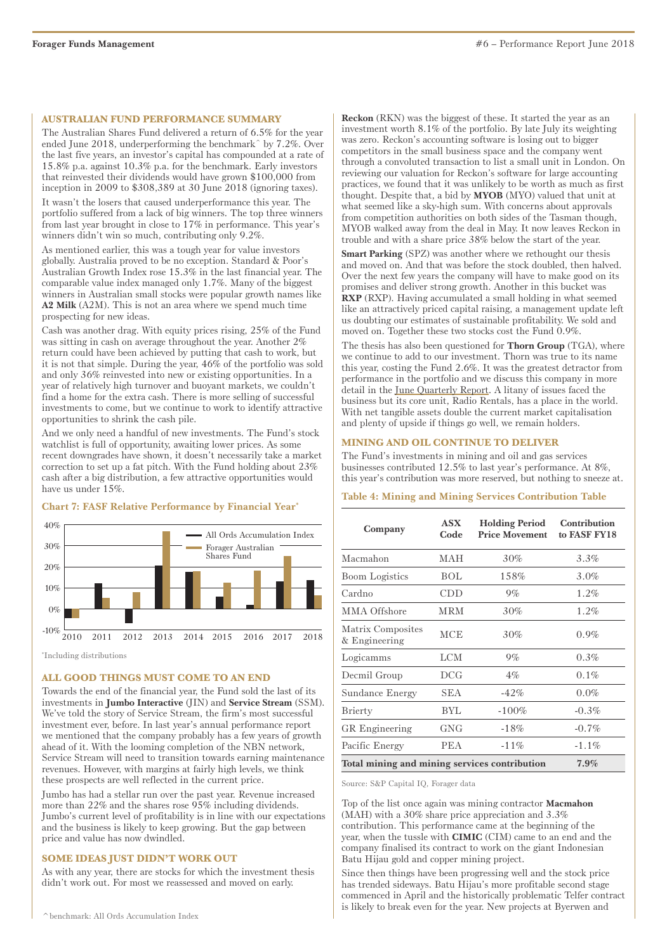### **AUSTRALIAN FUND PERFORMANCE SUMMARY**

The Australian Shares Fund delivered a return of 6.5% for the year ended June 2018, underperforming the benchmark^ by 7.2%. Over the last five years, an investor's capital has compounded at a rate of 15.8% p.a. against 10.3% p.a. for the benchmark. Early investors that reinvested their dividends would have grown \$100,000 from inception in 2009 to \$308,389 at 30 June 2018 (ignoring taxes).

It wasn't the losers that caused underperformance this year. The portfolio suffered from a lack of big winners. The top three winners from last year brought in close to 17% in performance. This year's winners didn't win so much, contributing only 9.2%.

As mentioned earlier, this was a tough year for value investors globally. Australia proved to be no exception. Standard & Poor's Australian Growth Index rose 15.3% in the last financial year. The comparable value index managed only 1.7%. Many of the biggest winners in Australian small stocks were popular growth names like **A2 Milk** (A2M). This is not an area where we spend much time prospecting for new ideas.

Cash was another drag. With equity prices rising, 25% of the Fund was sitting in cash on average throughout the year. Another 2% return could have been achieved by putting that cash to work, but it is not that simple. During the year, 46% of the portfolio was sold and only 36% reinvested into new or existing opportunities. In a year of relatively high turnover and buoyant markets, we couldn't find a home for the extra cash. There is more selling of successful investments to come, but we continue to work to identify attractive opportunities to shrink the cash pile.

And we only need a handful of new investments. The Fund's stock watchlist is full of opportunity, awaiting lower prices. As some recent downgrades have shown, it doesn't necessarily take a market correction to set up a fat pitch. With the Fund holding about 23% cash after a big distribution, a few attractive opportunities would have us under 15%.



### **Chart 7: FASF Relative Performance by Financial Year\***

\* Including distributions

### **ALL GOOD THINGS MUST COME TO AN END**

Towards the end of the financial year, the Fund sold the last of its investments in **Jumbo Interactive** (JIN) and **Service Stream** (SSM). We've told the story of Service Stream, the firm's most successful investment ever, before. In last year's annual performance report we mentioned that the company probably has a few years of growth ahead of it. With the looming completion of the NBN network, Service Stream will need to transition towards earning maintenance revenues. However, with margins at fairly high levels, we think these prospects are well reflected in the current price.

Jumbo has had a stellar run over the past year. Revenue increased more than 22% and the shares rose 95% including dividends. Jumbo's current level of profitability is in line with our expectations and the business is likely to keep growing. But the gap between price and value has now dwindled.

### **SOME IDEAS JUST DIDN'T WORK OUT**

As with any year, there are stocks for which the investment thesis didn't work out. For most we reassessed and moved on early.

**Reckon** (RKN) was the biggest of these. It started the year as an investment worth 8.1% of the portfolio. By late July its weighting was zero. Reckon's accounting software is losing out to bigger competitors in the small business space and the company went through a convoluted transaction to list a small unit in London. On reviewing our valuation for Reckon's software for large accounting practices, we found that it was unlikely to be worth as much as first thought. Despite that, a bid by **MYOB** (MYO) valued that unit at what seemed like a sky-high sum. With concerns about approvals from competition authorities on both sides of the Tasman though, MYOB walked away from the deal in May. It now leaves Reckon in trouble and with a share price 38% below the start of the year.

**Smart Parking** (SPZ) was another where we rethought our thesis and moved on. And that was before the stock doubled, then halved. Over the next few years the company will have to make good on its promises and deliver strong growth. Another in this bucket was **RXP** (RXP). Having accumulated a small holding in what seemed like an attractively priced capital raising, a management update left us doubting our estimates of sustainable profitability. We sold and moved on. Together these two stocks cost the Fund 0.9%.

The thesis has also been questioned for **Thorn Group** (TGA), where we continue to add to our investment. Thorn was true to its name this year, costing the Fund 2.6%. It was the greatest detractor from performance in the portfolio and we discuss this company in more detail in the[June Quarterly Repor](http://June Quarterly Report)[t.](https://foragerfunds.com/news/investor_resources/quarterly-report-june-2018/) A litany of issues faced the business but its core unit, Radio Rentals, has a place in the world. With net tangible assets double the current market capitalisation and plenty of upside if things go well, we remain holders.

### **MINING AND OIL CONTINUE TO DELIVER**

The Fund's investments in mining and oil and gas services businesses contributed 12.5% to last year's performance. At 8%, this year's contribution was more reserved, but nothing to sneeze at.

### **Table 4: Mining and Mining Services Contribution Table**

| Company                                       | <b>ASX</b><br>Code | <b>Holding Period</b><br><b>Price Movement</b> | Contribution<br>to FASF FY18 |
|-----------------------------------------------|--------------------|------------------------------------------------|------------------------------|
| Macmahon                                      | MAH                | 30%                                            | $3.3\%$                      |
| <b>Boom</b> Logistics                         | BOL                | 158%                                           | $3.0\%$                      |
| Cardno                                        | CDD                | $9\%$                                          | $1.2\%$                      |
| MMA Offshore                                  | <b>MRM</b>         | 30%                                            | $1.2\%$                      |
| Matrix Composites<br>& Engineering            | <b>MCE</b>         | 30%                                            | 0.9%                         |
| Logicamms                                     | <b>LCM</b>         | $9\%$                                          | 0.3%                         |
| Decmil Group                                  | <b>DCG</b>         | $4\%$                                          | 0.1%                         |
| Sundance Energy                               | <b>SEA</b>         | $-42%$                                         | $0.0\%$                      |
| <b>Brierty</b>                                | BYL                | $-100%$                                        | $-0.3\%$                     |
| GR Engineering                                | GNG                | $-18%$                                         | $-0.7\%$                     |
| Pacific Energy                                | <b>PEA</b>         | $-11\%$                                        | $-1.1\%$                     |
| Total mining and mining services contribution | 7.9%               |                                                |                              |

Source: S&P Capital IQ, Forager data

Top of the list once again was mining contractor **Macmahon** (MAH) with a 30% share price appreciation and 3.3% contribution. This performance came at the beginning of the year, when the tussle with **CIMIC** (CIM) came to an end and the company finalised its contract to work on the giant Indonesian Batu Hijau gold and copper mining project.

Since then things have been progressing well and the stock price has trended sideways. Batu Hijau's more profitable second stage commenced in April and the historically problematic Telfer contract is likely to break even for the year. New projects at Byerwen and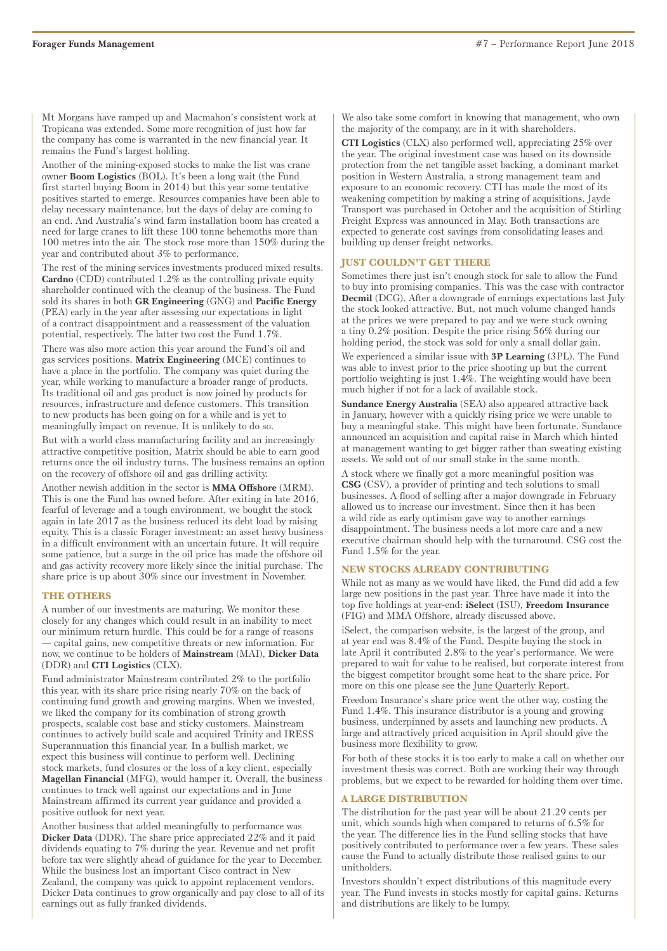Mt Morgans have ramped up and Macmahon's consistent work at Tropicana was extended. Some more recognition of just how far the company has come is warranted in the new financial year. It remains the Fund's largest holding.

Another of the mining-exposed stocks to make the list was crane owner **Boom Logistics** (BOL). It's been a long wait (the Fund first started buying Boom in 2014) but this year some tentative positives started to emerge. Resources companies have been able to delay necessary maintenance, but the days of delay are coming to an end. And Australia's wind farm installation boom has created a need for large cranes to lift these 100 tonne behemoths more than 100 metres into the air. The stock rose more than 150% during the year and contributed about 3% to performance.

The rest of the mining services investments produced mixed results. **Cardno** (CDD) contributed 1.2% as the controlling private equity shareholder continued with the cleanup of the business. The Fund sold its shares in both **GR Engineering** (GNG) and **Pacific Energy** (PEA) early in the year after assessing our expectations in light of a contract disappointment and a reassessment of the valuation potential, respectively. The latter two cost the Fund 1.7%.

There was also more action this year around the Fund's oil and gas services positions. **Matrix Engineering** (MCE) continues to have a place in the portfolio. The company was quiet during the year, while working to manufacture a broader range of products. Its traditional oil and gas product is now joined by products for resources, infrastructure and defence customers. This transition to new products has been going on for a while and is yet to meaningfully impact on revenue. It is unlikely to do so.

But with a world class manufacturing facility and an increasingly attractive competitive position, Matrix should be able to earn good returns once the oil industry turns. The business remains an option on the recovery of offshore oil and gas drilling activity.

Another newish addition in the sector is **MMA Offshore** (MRM). This is one the Fund has owned before. After exiting in late 2016, fearful of leverage and a tough environment, we bought the stock again in late 2017 as the business reduced its debt load by raising equity. This is a classic Forager investment: an asset heavy business in a difficult environment with an uncertain future. It will require some patience, but a surge in the oil price has made the offshore oil and gas activity recovery more likely since the initial purchase. The share price is up about 30% since our investment in November.

### **THE OTHERS**

A number of our investments are maturing. We monitor these closely for any changes which could result in an inability to meet our minimum return hurdle. This could be for a range of reasons — capital gains, new competitive threats or new information. For now, we continue to be holders of **Mainstream** (MAI), **Dicker Data** (DDR) and **CTI Logistics** (CLX).

Fund administrator Mainstream contributed 2% to the portfolio this year, with its share price rising nearly 70% on the back of continuing fund growth and growing margins. When we invested, we liked the company for its combination of strong growth prospects, scalable cost base and sticky customers. Mainstream continues to actively build scale and acquired Trinity and IRESS Superannuation this financial year. In a bullish market, we expect this business will continue to perform well. Declining stock markets, fund closures or the loss of a key client, especially **Magellan Financial** (MFG), would hamper it. Overall, the business continues to track well against our expectations and in June Mainstream affirmed its current year guidance and provided a positive outlook for next year.

Another business that added meaningfully to performance was **Dicker Data** (DDR). The share price appreciated 22% and it paid dividends equating to 7% during the year. Revenue and net profit before tax were slightly ahead of guidance for the year to December. While the business lost an important Cisco contract in New Zealand, the company was quick to appoint replacement vendors. Dicker Data continues to grow organically and pay close to all of its earnings out as fully franked dividends.

We also take some comfort in knowing that management, who own the majority of the company, are in it with shareholders.

**CTI Logistics** (CLX) also performed well, appreciating 25% over the year. The original investment case was based on its downside protection from the net tangible asset backing, a dominant market position in Western Australia, a strong management team and exposure to an economic recovery. CTI has made the most of its weakening competition by making a string of acquisitions. Jayde Transport was purchased in October and the acquisition of Stirling Freight Express was announced in May. Both transactions are expected to generate cost savings from consolidating leases and building up denser freight networks.

### **JUST COULDN'T GET THERE**

Sometimes there just isn't enough stock for sale to allow the Fund to buy into promising companies. This was the case with contractor **Decmil** (DCG). After a downgrade of earnings expectations last July the stock looked attractive. But, not much volume changed hands at the prices we were prepared to pay and we were stuck owning a tiny 0.2% position. Despite the price rising 56% during our holding period, the stock was sold for only a small dollar gain.

We experienced a similar issue with **3P Learning** (3PL). The Fund was able to invest prior to the price shooting up but the current portfolio weighting is just 1.4%. The weighting would have been much higher if not for a lack of available stock.

**Sundance Energy Australia** (SEA) also appeared attractive back in January, however with a quickly rising price we were unable to buy a meaningful stake. This might have been fortunate. Sundance announced an acquisition and capital raise in March which hinted at management wanting to get bigger rather than sweating existing assets. We sold out of our small stake in the same month.

A stock where we finally got a more meaningful position was **CSG** (CSV), a provider of printing and tech solutions to small businesses. A flood of selling after a major downgrade in February allowed us to increase our investment. Since then it has been a wild ride as early optimism gave way to another earnings disappointment. The business needs a lot more care and a new executive chairman should help with the turnaround. CSG cost the Fund 1.5% for the year.

### **NEW STOCKS ALREADY CONTRIBUTING**

While not as many as we would have liked, the Fund did add a few large new positions in the past year. Three have made it into the top five holdings at year-end: **iSelect** (ISU), **Freedom Insurance** (FIG) and MMA Offshore, already discussed above.

iSelect, the comparison website, is the largest of the group, and at year end was 8.4% of the Fund. Despite buying the stock in late April it contributed 2.8% to the year's performance. We were prepared to wait for value to be realised, but corporate interest from the biggest competitor brought some heat to the share price. For more on this one please see the <u>June Quarterly Report</u>.

Freedom Insurance's share price went the other way, costing the Fund 1.4%. This insurance distributor is a young and growing business, underpinned by assets and launching new products. A large and attractively priced acquisition in April should give the business more flexibility to grow.

For both of these stocks it is too early to make a call on whether our investment thesis was correct. Both are working their way through problems, but we expect to be rewarded for holding them over time.

### **A LARGE DISTRIBUTION**

The distribution for the past year will be about 21.29 cents per unit, which sounds high when compared to returns of 6.5% for the year. The difference lies in the Fund selling stocks that have positively contributed to performance over a few years. These sales cause the Fund to actually distribute those realised gains to our unitholders.

Investors shouldn't expect distributions of this magnitude every year. The Fund invests in stocks mostly for capital gains. Returns and distributions are likely to be lumpy.